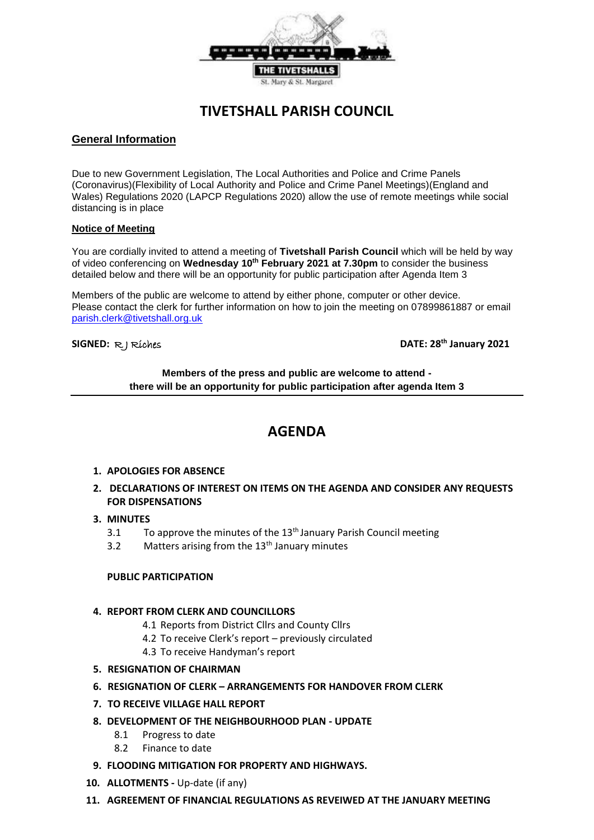

# **TIVETSHALL PARISH COUNCIL**

# **General Information**

Due to new Government Legislation, The Local Authorities and Police and Crime Panels (Coronavirus)(Flexibility of Local Authority and Police and Crime Panel Meetings)(England and Wales) Regulations 2020 (LAPCP Regulations 2020) allow the use of remote meetings while social distancing is in place

### **Notice of Meeting**

You are cordially invited to attend a meeting of **Tivetshall Parish Council** which will be held by way of video conferencing on **Wednesday 10th February 2021 at 7.30pm** to consider the business detailed below and there will be an opportunity for public participation after Agenda Item 3

Members of the public are welcome to attend by either phone, computer or other device. Please contact the clerk for further information on how to join the meeting on 07899861887 or email parish.clerk@tivetshall.org.uk

**SIGNED:** R J Riches **DATE: 28th January 2021**

**Members of the press and public are welcome to attend there will be an opportunity for public participation after agenda Item 3**

# **AGENDA**

- **1. APOLOGIES FOR ABSENCE**
- **2. DECLARATIONS OF INTEREST ON ITEMS ON THE AGENDA AND CONSIDER ANY REQUESTS FOR DISPENSATIONS**

### **3. MINUTES**

- 3.1 To approve the minutes of the  $13<sup>th</sup>$  January Parish Council meeting
- 3.2 Matters arising from the  $13<sup>th</sup>$  January minutes

### **PUBLIC PARTICIPATION**

### **4. REPORT FROM CLERK AND COUNCILLORS**

- 4.1 Reports from District Cllrs and County Cllrs
- 4.2 To receive Clerk's report previously circulated
- 4.3 To receive Handyman's report
- **5. RESIGNATION OF CHAIRMAN**
- **6. RESIGNATION OF CLERK – ARRANGEMENTS FOR HANDOVER FROM CLERK**
- **7. TO RECEIVE VILLAGE HALL REPORT**
- **8. DEVELOPMENT OF THE NEIGHBOURHOOD PLAN - UPDATE**
	- 8.1 Progress to date
	- 8.2 Finance to date
- **9. FLOODING MITIGATION FOR PROPERTY AND HIGHWAYS.**
- **10. ALLOTMENTS -** Up-date (if any)
- **11. AGREEMENT OF FINANCIAL REGULATIONS AS REVEIWED AT THE JANUARY MEETING**